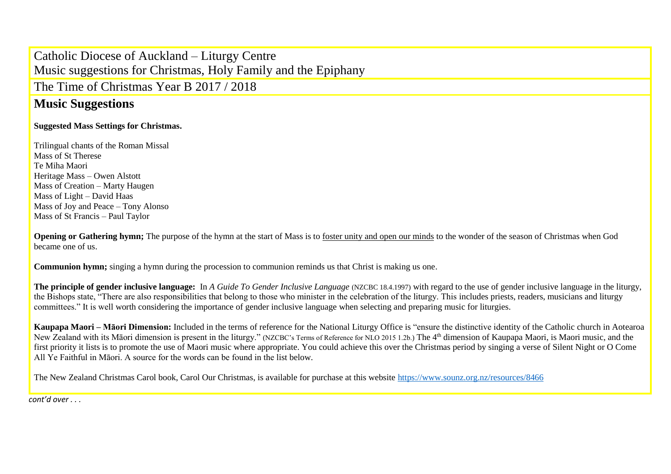## Catholic Diocese of Auckland – Liturgy Centre Music suggestions for Christmas, Holy Family and the Epiphany

The Time of Christmas Year B 2017 / 2018

## **Music Suggestions**

## **Suggested Mass Settings for Christmas.**

Trilingual chants of the Roman Missal Mass of St Therese Te Miha Maori Heritage Mass – Owen Alstott Mass of Creation – Marty Haugen Mass of Light – David Haas Mass of Joy and Peace – Tony Alonso Mass of St Francis – Paul Taylor

**Opening or Gathering hymn;** The purpose of the hymn at the start of Mass is to foster unity and open our minds to the wonder of the season of Christmas when God became one of us.

**Communion hymn;** singing a hymn during the procession to communion reminds us that Christ is making us one.

**The principle of gender inclusive language:** In *A Guide To Gender Inclusive Language* (NZCBC 18.4.1997) with regard to the use of gender inclusive language in the liturgy, the Bishops state, "There are also responsibilities that belong to those who minister in the celebration of the liturgy. This includes priests, readers, musicians and liturgy committees." It is well worth considering the importance of gender inclusive language when selecting and preparing music for liturgies.

**Kaupapa Maori – Māori Dimension:** Included in the terms of reference for the National Liturgy Office is "ensure the distinctive identity of the Catholic church in Aotearoa New Zealand with its Māori dimension is present in the liturgy." (NZCBC's Terms of Reference for NLO 2015 1.2b.) The 4th dimension of Kaupapa Maori, is Maori music, and the first priority it lists is to promote the use of Maori music where appropriate. You could achieve this over the Christmas period by singing a verse of Silent Night or O Come All Ye Faithful in Māori. A source for the words can be found in the list below.

The New Zealand Christmas Carol book, Carol Our Christmas, is available for purchase at this website<https://www.sounz.org.nz/resources/8466>

*cont'd over . . .*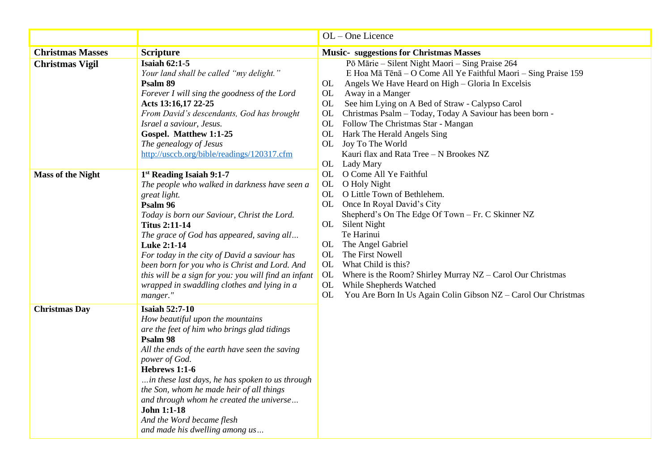|                          |                                                                                                                                                                                                                                                                                                                                                                                                                                                              | OL - One Licence                                                                                                                                                                                                                                                                                                                                                                                                                                                                                                                                                                                                                                                                                                                                                                                                                                                                                                                                                       |
|--------------------------|--------------------------------------------------------------------------------------------------------------------------------------------------------------------------------------------------------------------------------------------------------------------------------------------------------------------------------------------------------------------------------------------------------------------------------------------------------------|------------------------------------------------------------------------------------------------------------------------------------------------------------------------------------------------------------------------------------------------------------------------------------------------------------------------------------------------------------------------------------------------------------------------------------------------------------------------------------------------------------------------------------------------------------------------------------------------------------------------------------------------------------------------------------------------------------------------------------------------------------------------------------------------------------------------------------------------------------------------------------------------------------------------------------------------------------------------|
| <b>Christmas Masses</b>  | <b>Scripture</b>                                                                                                                                                                                                                                                                                                                                                                                                                                             | <b>Music-</b> suggestions for Christmas Masses                                                                                                                                                                                                                                                                                                                                                                                                                                                                                                                                                                                                                                                                                                                                                                                                                                                                                                                         |
| <b>Christmas Vigil</b>   | <b>Isaiah 62:1-5</b><br>Your land shall be called "my delight."<br>Psalm 89<br>Forever I will sing the goodness of the Lord<br>Acts 13:16,17 22-25<br>From David's descendants, God has brought<br>Israel a saviour, Jesus.<br>Gospel. Matthew 1:1-25<br>The genealogy of Jesus<br>http://usccb.org/bible/readings/120317.cfm                                                                                                                                | Pō Mārie - Silent Night Maori - Sing Praise 264<br>E Hoa Mā Tēnā - O Come All Ye Faithful Maori - Sing Praise 159<br>Angels We Have Heard on High - Gloria In Excelsis<br>OL<br>OL<br>Away in a Manger<br>See him Lying on A Bed of Straw - Calypso Carol<br>OL<br>Christmas Psalm - Today, Today A Saviour has been born -<br>OL<br>OL Follow The Christmas Star - Mangan<br>OL Hark The Herald Angels Sing<br>OL Joy To The World<br>Kauri flax and Rata Tree - N Brookes NZ<br>OL Lady Mary<br>OL O Come All Ye Faithful<br>OL O Holy Night<br>OL O Little Town of Bethlehem.<br>OL Once In Royal David's City<br>Shepherd's On The Edge Of Town - Fr. C Skinner NZ<br>OL Silent Night<br>Te Harinui<br>The Angel Gabriel<br>OL<br>OL<br>The First Nowell<br>OL<br>What Child is this?<br>OL<br>Where is the Room? Shirley Murray NZ - Carol Our Christmas<br>OL<br>While Shepherds Watched<br>You Are Born In Us Again Colin Gibson NZ - Carol Our Christmas<br>OL |
| <b>Mass of the Night</b> | 1st Reading Isaiah 9:1-7<br>The people who walked in darkness have seen a<br>great light.<br>Psalm 96<br>Today is born our Saviour, Christ the Lord.<br><b>Titus 2:11-14</b><br>The grace of God has appeared, saving all<br>Luke 2:1-14<br>For today in the city of David a saviour has<br>been born for you who is Christ and Lord. And<br>this will be a sign for you: you will find an infant<br>wrapped in swaddling clothes and lying in a<br>manger." |                                                                                                                                                                                                                                                                                                                                                                                                                                                                                                                                                                                                                                                                                                                                                                                                                                                                                                                                                                        |
| <b>Christmas Day</b>     | <b>Isaiah 52:7-10</b><br>How beautiful upon the mountains<br>are the feet of him who brings glad tidings<br>Psalm 98<br>All the ends of the earth have seen the saving<br>power of God.<br>Hebrews 1:1-6<br>in these last days, he has spoken to us through<br>the Son, whom he made heir of all things<br>and through whom he created the universe<br>John 1:1-18<br>And the Word became flesh<br>and made his dwelling among us                            |                                                                                                                                                                                                                                                                                                                                                                                                                                                                                                                                                                                                                                                                                                                                                                                                                                                                                                                                                                        |